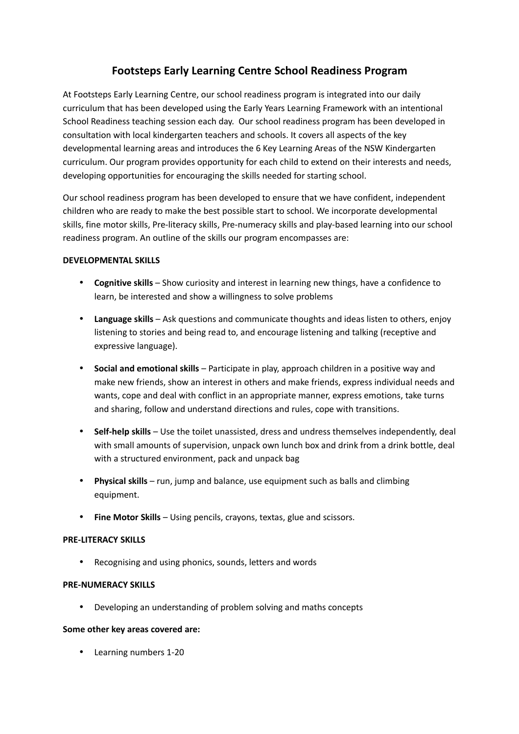# **Footsteps Early Learning Centre School Readiness Program**

At Footsteps Early Learning Centre, our school readiness program is integrated into our daily curriculum that has been developed using the Early Years Learning Framework with an intentional School Readiness teaching session each day. Our school readiness program has been developed in consultation with local kindergarten teachers and schools. It covers all aspects of the key developmental learning areas and introduces the 6 Key Learning Areas of the NSW Kindergarten curriculum. Our program provides opportunity for each child to extend on their interests and needs, developing opportunities for encouraging the skills needed for starting school.

Our school readiness program has been developed to ensure that we have confident, independent children who are ready to make the best possible start to school. We incorporate developmental skills, fine motor skills, Pre-literacy skills, Pre-numeracy skills and play-based learning into our school readiness program. An outline of the skills our program encompasses are:

## **DEVELOPMENTAL SKILLS**

- **Cognitive skills** Show curiosity and interest in learning new things, have a confidence to learn, be interested and show a willingness to solve problems
- **Language skills** Ask questions and communicate thoughts and ideas listen to others, enjoy listening to stories and being read to, and encourage listening and talking (receptive and expressive language).
- **Social and emotional skills** Participate in play, approach children in a positive way and make new friends, show an interest in others and make friends, express individual needs and wants, cope and deal with conflict in an appropriate manner, express emotions, take turns and sharing, follow and understand directions and rules, cope with transitions.
- **Self-help skills** Use the toilet unassisted, dress and undress themselves independently, deal with small amounts of supervision, unpack own lunch box and drink from a drink bottle, deal with a structured environment, pack and unpack bag
- **Physical skills** run, jump and balance, use equipment such as balls and climbing equipment.
- **Fine Motor Skills** Using pencils, crayons, textas, glue and scissors.

### **PRE-LITERACY SKILLS**

• Recognising and using phonics, sounds, letters and words

### **PRE-NUMERACY SKILLS**

• Developing an understanding of problem solving and maths concepts

### **Some other key areas covered are:**

• Learning numbers 1-20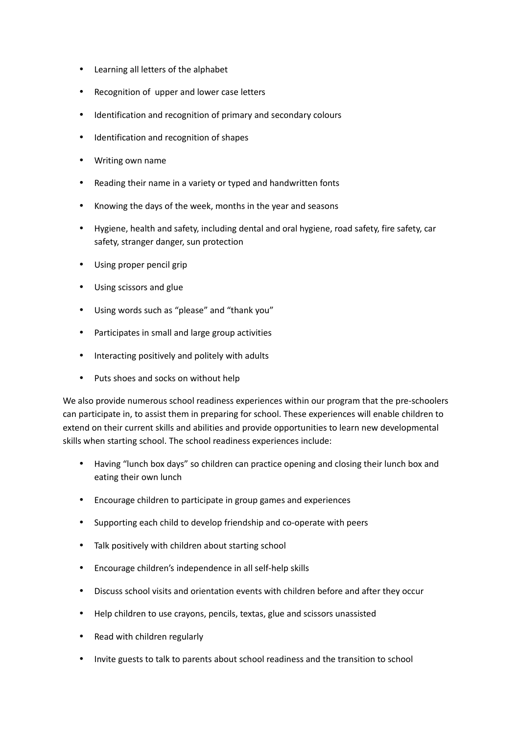- Learning all letters of the alphabet
- Recognition of upper and lower case letters
- Identification and recognition of primary and secondary colours
- Identification and recognition of shapes
- Writing own name
- Reading their name in a variety or typed and handwritten fonts
- Knowing the days of the week, months in the year and seasons
- Hygiene, health and safety, including dental and oral hygiene, road safety, fire safety, car safety, stranger danger, sun protection
- Using proper pencil grip
- Using scissors and glue
- Using words such as "please" and "thank you"
- Participates in small and large group activities
- Interacting positively and politely with adults
- Puts shoes and socks on without help

We also provide numerous school readiness experiences within our program that the pre-schoolers can participate in, to assist them in preparing for school. These experiences will enable children to extend on their current skills and abilities and provide opportunities to learn new developmental skills when starting school. The school readiness experiences include:

- Having "lunch box days" so children can practice opening and closing their lunch box and eating their own lunch
- Encourage children to participate in group games and experiences
- Supporting each child to develop friendship and co-operate with peers
- Talk positively with children about starting school
- Encourage children's independence in all self-help skills
- Discuss school visits and orientation events with children before and after they occur
- Help children to use crayons, pencils, textas, glue and scissors unassisted
- Read with children regularly
- Invite guests to talk to parents about school readiness and the transition to school